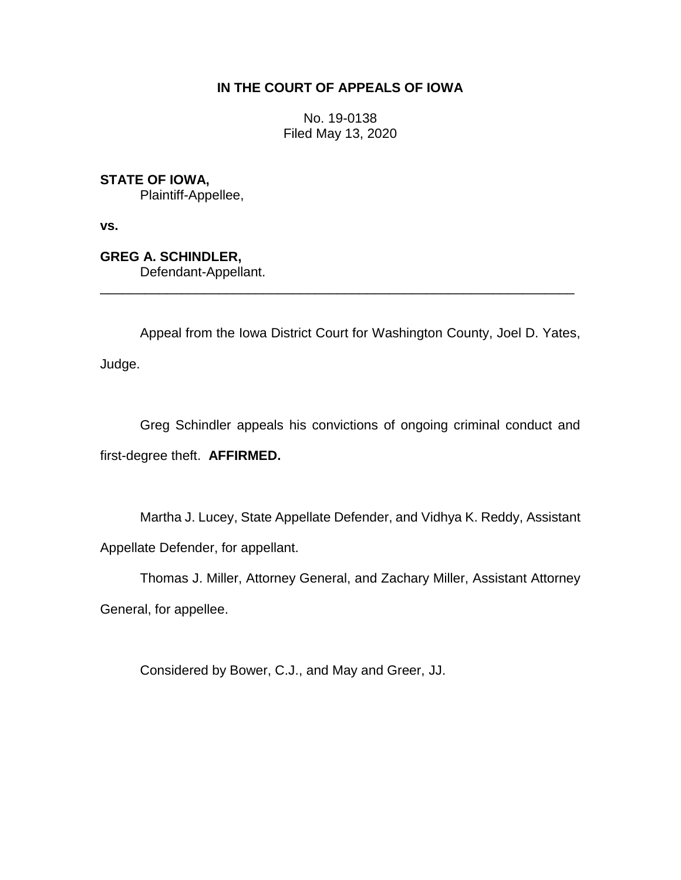# **IN THE COURT OF APPEALS OF IOWA**

No. 19-0138 Filed May 13, 2020

**STATE OF IOWA,**

Plaintiff-Appellee,

**vs.**

**GREG A. SCHINDLER,** Defendant-Appellant.

Appeal from the Iowa District Court for Washington County, Joel D. Yates, Judge.

\_\_\_\_\_\_\_\_\_\_\_\_\_\_\_\_\_\_\_\_\_\_\_\_\_\_\_\_\_\_\_\_\_\_\_\_\_\_\_\_\_\_\_\_\_\_\_\_\_\_\_\_\_\_\_\_\_\_\_\_\_\_\_\_

Greg Schindler appeals his convictions of ongoing criminal conduct and first-degree theft. **AFFIRMED.**

Martha J. Lucey, State Appellate Defender, and Vidhya K. Reddy, Assistant Appellate Defender, for appellant.

Thomas J. Miller, Attorney General, and Zachary Miller, Assistant Attorney

General, for appellee.

Considered by Bower, C.J., and May and Greer, JJ.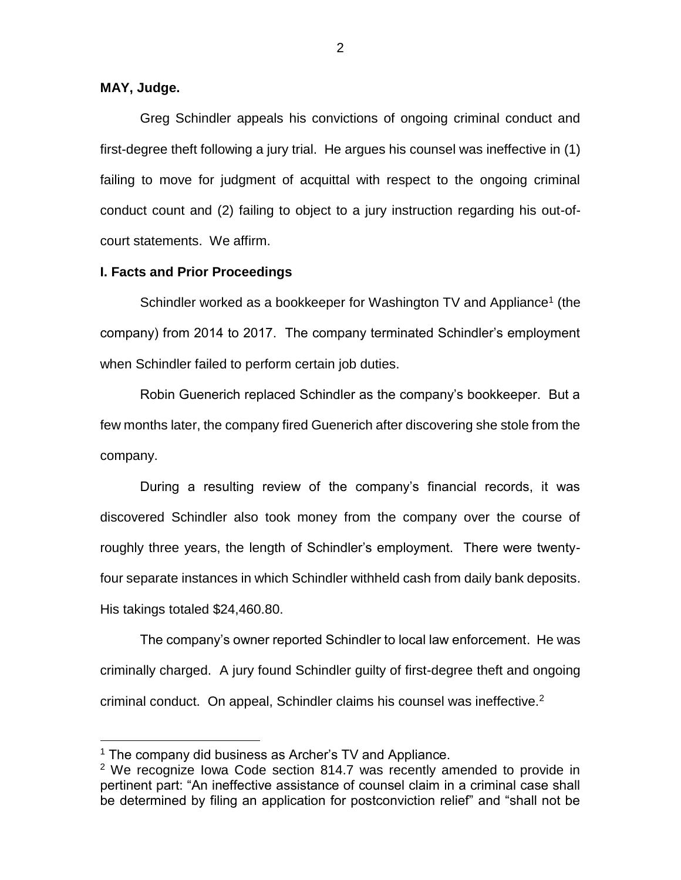### **MAY, Judge.**

 $\overline{a}$ 

Greg Schindler appeals his convictions of ongoing criminal conduct and first-degree theft following a jury trial. He argues his counsel was ineffective in (1) failing to move for judgment of acquittal with respect to the ongoing criminal conduct count and (2) failing to object to a jury instruction regarding his out-ofcourt statements. We affirm.

#### **I. Facts and Prior Proceedings**

Schindler worked as a bookkeeper for Washington TV and Appliance<sup>1</sup> (the company) from 2014 to 2017. The company terminated Schindler's employment when Schindler failed to perform certain job duties.

Robin Guenerich replaced Schindler as the company's bookkeeper. But a few months later, the company fired Guenerich after discovering she stole from the company.

During a resulting review of the company's financial records, it was discovered Schindler also took money from the company over the course of roughly three years, the length of Schindler's employment. There were twentyfour separate instances in which Schindler withheld cash from daily bank deposits. His takings totaled \$24,460.80.

The company's owner reported Schindler to local law enforcement. He was criminally charged. A jury found Schindler guilty of first-degree theft and ongoing criminal conduct. On appeal, Schindler claims his counsel was ineffective.<sup>2</sup>

 $1$  The company did business as Archer's TV and Appliance.

 $2$  We recognize Iowa Code section 814.7 was recently amended to provide in pertinent part: "An ineffective assistance of counsel claim in a criminal case shall be determined by filing an application for postconviction relief" and "shall not be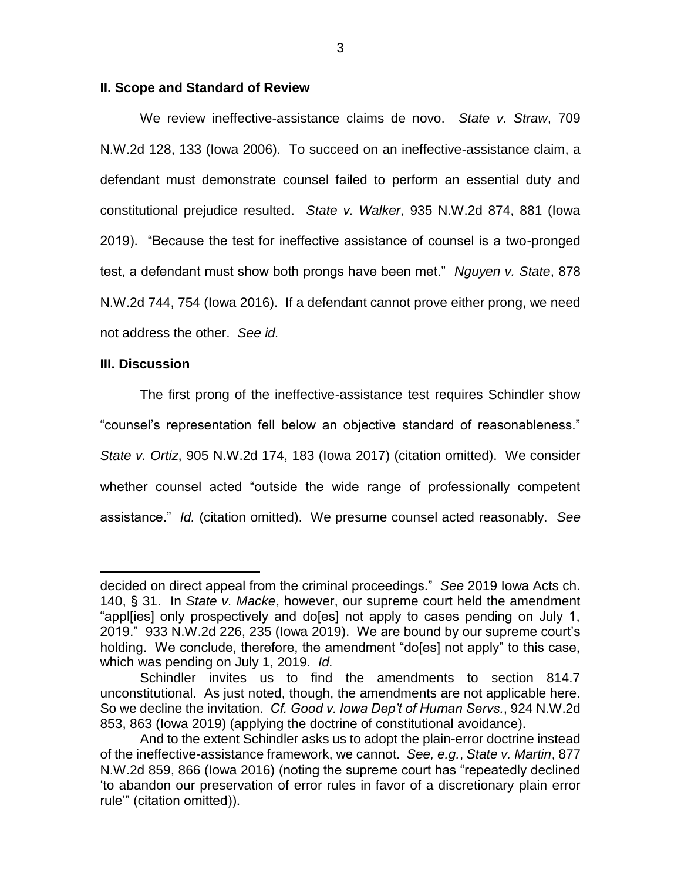#### **II. Scope and Standard of Review**

We review ineffective-assistance claims de novo. *State v. Straw*, 709 N.W.2d 128, 133 (Iowa 2006). To succeed on an ineffective-assistance claim, a defendant must demonstrate counsel failed to perform an essential duty and constitutional prejudice resulted. *State v. Walker*, 935 N.W.2d 874, 881 (Iowa 2019). "Because the test for ineffective assistance of counsel is a two-pronged test, a defendant must show both prongs have been met." *Nguyen v. State*, 878 N.W.2d 744, 754 (Iowa 2016). If a defendant cannot prove either prong, we need not address the other. *See id.*

#### **III. Discussion**

 $\overline{a}$ 

The first prong of the ineffective-assistance test requires Schindler show "counsel's representation fell below an objective standard of reasonableness." *State v. Ortiz*, 905 N.W.2d 174, 183 (Iowa 2017) (citation omitted). We consider whether counsel acted "outside the wide range of professionally competent assistance." *Id.* (citation omitted). We presume counsel acted reasonably. *See* 

decided on direct appeal from the criminal proceedings." *See* 2019 Iowa Acts ch. 140, § 31. In *State v. Macke*, however, our supreme court held the amendment "appl[ies] only prospectively and do[es] not apply to cases pending on July 1, 2019." 933 N.W.2d 226, 235 (Iowa 2019). We are bound by our supreme court's holding. We conclude, therefore, the amendment "do[es] not apply" to this case, which was pending on July 1, 2019. *Id.*

Schindler invites us to find the amendments to section 814.7 unconstitutional. As just noted, though, the amendments are not applicable here. So we decline the invitation. *Cf. Good v. Iowa Dep't of Human Servs.*, 924 N.W.2d 853, 863 (Iowa 2019) (applying the doctrine of constitutional avoidance).

And to the extent Schindler asks us to adopt the plain-error doctrine instead of the ineffective-assistance framework, we cannot. *See, e.g.*, *State v. Martin*, 877 N.W.2d 859, 866 (Iowa 2016) (noting the supreme court has "repeatedly declined 'to abandon our preservation of error rules in favor of a discretionary plain error rule'" (citation omitted)).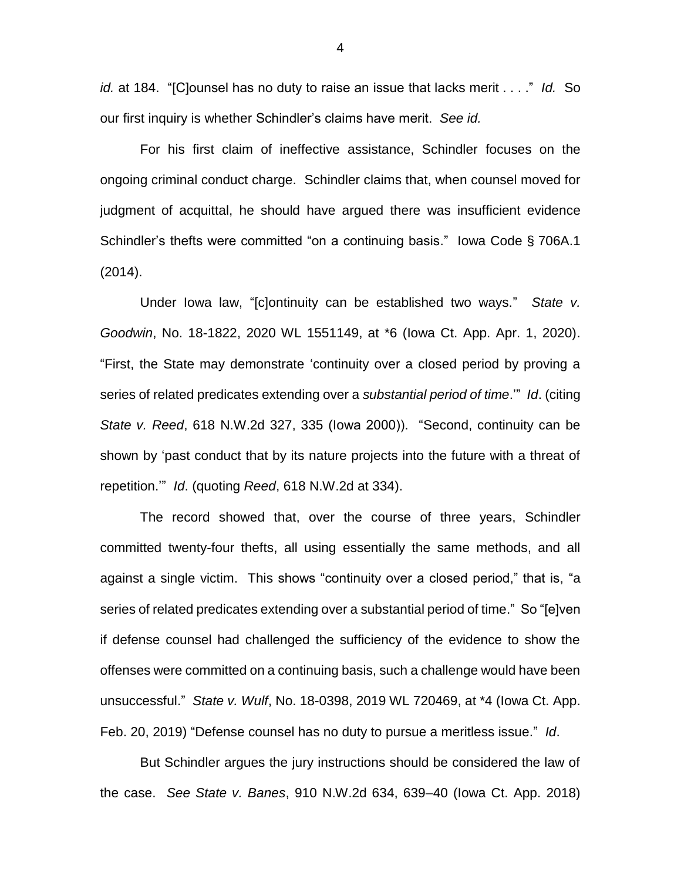*id.* at 184. "[C]ounsel has no duty to raise an issue that lacks merit . . . ." *Id.* So our first inquiry is whether Schindler's claims have merit. *See id.*

For his first claim of ineffective assistance, Schindler focuses on the ongoing criminal conduct charge. Schindler claims that, when counsel moved for judgment of acquittal, he should have argued there was insufficient evidence Schindler's thefts were committed "on a continuing basis." Iowa Code § 706A.1 (2014).

Under Iowa law, "[c]ontinuity can be established two ways." *State v. Goodwin*, No. 18-1822, 2020 WL 1551149, at \*6 (Iowa Ct. App. Apr. 1, 2020). "First, the State may demonstrate 'continuity over a closed period by proving a series of related predicates extending over a *substantial period of time*.'" *Id*. (citing *State v. Reed*, 618 N.W.2d 327, 335 (Iowa 2000)). "Second, continuity can be shown by 'past conduct that by its nature projects into the future with a threat of repetition.'" *Id*. (quoting *Reed*, 618 N.W.2d at 334).

The record showed that, over the course of three years, Schindler committed twenty-four thefts, all using essentially the same methods, and all against a single victim. This shows "continuity over a closed period," that is, "a series of related predicates extending over a substantial period of time." So "[e]ven if defense counsel had challenged the sufficiency of the evidence to show the offenses were committed on a continuing basis, such a challenge would have been unsuccessful." *State v. Wulf*, No. 18-0398, 2019 WL 720469, at \*4 (Iowa Ct. App. Feb. 20, 2019) "Defense counsel has no duty to pursue a meritless issue." *Id*.

But Schindler argues the jury instructions should be considered the law of the case. *See State v. Banes*, 910 N.W.2d 634, 639–40 (Iowa Ct. App. 2018)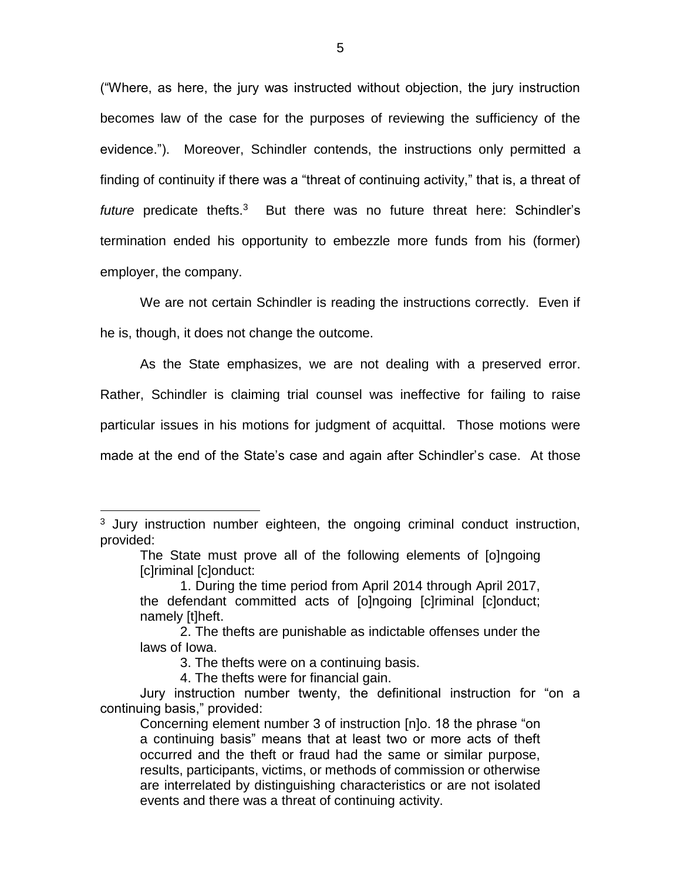("Where, as here, the jury was instructed without objection, the jury instruction becomes law of the case for the purposes of reviewing the sufficiency of the evidence."). Moreover, Schindler contends, the instructions only permitted a finding of continuity if there was a "threat of continuing activity," that is, a threat of future predicate thefts.<sup>3</sup> But there was no future threat here: Schindler's termination ended his opportunity to embezzle more funds from his (former) employer, the company.

We are not certain Schindler is reading the instructions correctly. Even if he is, though, it does not change the outcome.

As the State emphasizes, we are not dealing with a preserved error. Rather, Schindler is claiming trial counsel was ineffective for failing to raise particular issues in his motions for judgment of acquittal. Those motions were made at the end of the State's case and again after Schindler's case. At those

 $\overline{a}$ 

<sup>&</sup>lt;sup>3</sup> Jury instruction number eighteen, the ongoing criminal conduct instruction, provided:

The State must prove all of the following elements of [o]ngoing [c]riminal [c]onduct:

<sup>1.</sup> During the time period from April 2014 through April 2017, the defendant committed acts of [o]ngoing [c]riminal [c]onduct; namely [t]heft.

<sup>2.</sup> The thefts are punishable as indictable offenses under the laws of Iowa.

<sup>3.</sup> The thefts were on a continuing basis.

<sup>4.</sup> The thefts were for financial gain.

Jury instruction number twenty, the definitional instruction for "on a continuing basis," provided:

Concerning element number 3 of instruction [n]o. 18 the phrase "on a continuing basis" means that at least two or more acts of theft occurred and the theft or fraud had the same or similar purpose, results, participants, victims, or methods of commission or otherwise are interrelated by distinguishing characteristics or are not isolated events and there was a threat of continuing activity.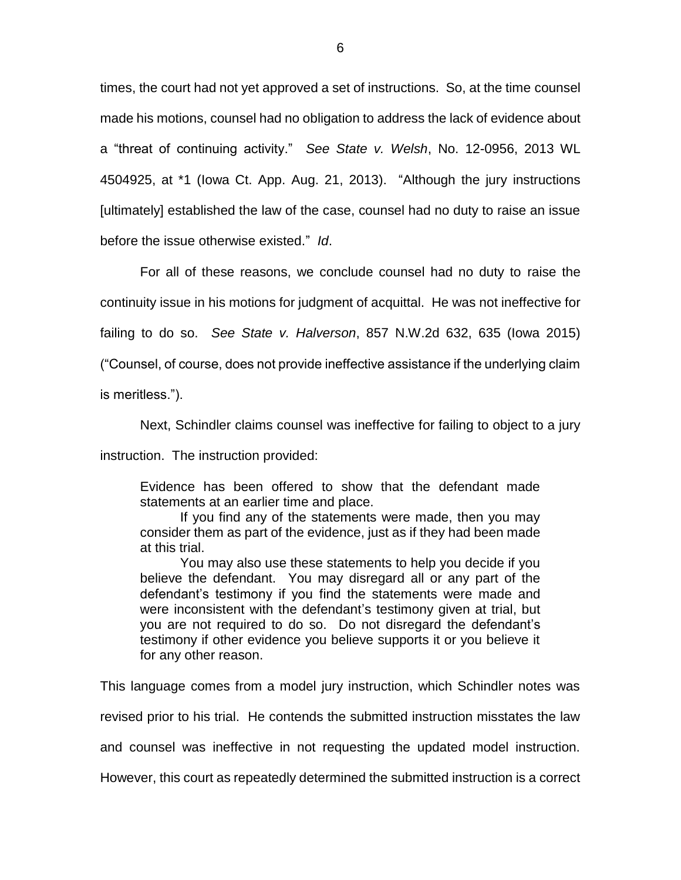times, the court had not yet approved a set of instructions. So, at the time counsel made his motions, counsel had no obligation to address the lack of evidence about a "threat of continuing activity." *See State v. Welsh*, No. 12-0956, 2013 WL 4504925, at \*1 (Iowa Ct. App. Aug. 21, 2013). "Although the jury instructions [ultimately] established the law of the case, counsel had no duty to raise an issue before the issue otherwise existed." *Id*.

For all of these reasons, we conclude counsel had no duty to raise the continuity issue in his motions for judgment of acquittal. He was not ineffective for failing to do so. *See State v. Halverson*, 857 N.W.2d 632, 635 (Iowa 2015) ("Counsel, of course, does not provide ineffective assistance if the underlying claim is meritless.").

Next, Schindler claims counsel was ineffective for failing to object to a jury

instruction. The instruction provided:

Evidence has been offered to show that the defendant made statements at an earlier time and place.

If you find any of the statements were made, then you may consider them as part of the evidence, just as if they had been made at this trial.

You may also use these statements to help you decide if you believe the defendant. You may disregard all or any part of the defendant's testimony if you find the statements were made and were inconsistent with the defendant's testimony given at trial, but you are not required to do so. Do not disregard the defendant's testimony if other evidence you believe supports it or you believe it for any other reason.

This language comes from a model jury instruction, which Schindler notes was

revised prior to his trial. He contends the submitted instruction misstates the law

and counsel was ineffective in not requesting the updated model instruction.

However, this court as repeatedly determined the submitted instruction is a correct